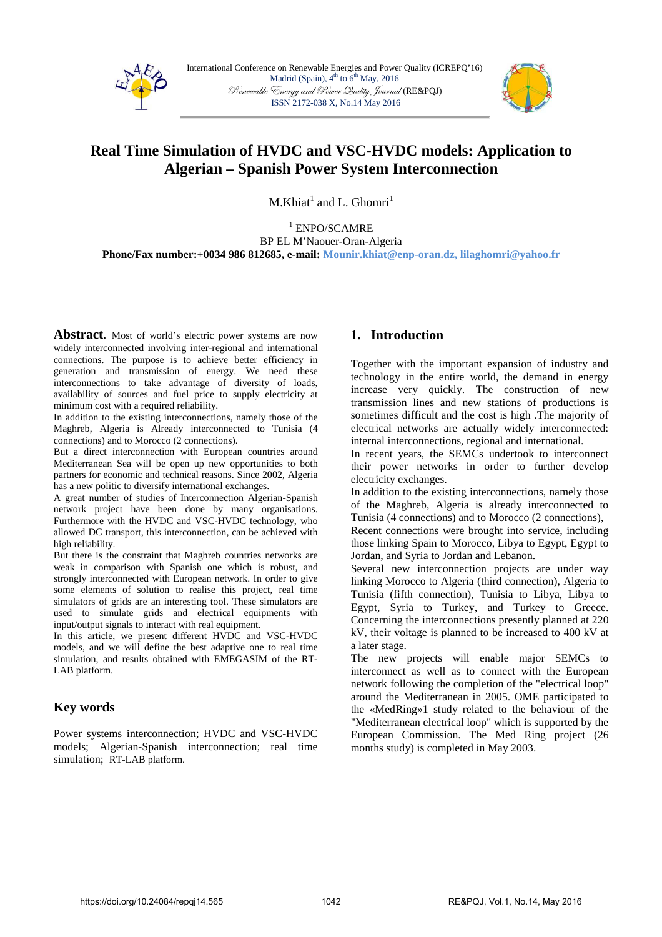



# **Real Time Simulation of HVDC and VSC-HVDC models: Application to Algerian – Spanish Power System Interconnection**

 $M.Khiat<sup>1</sup>$  and L. Ghomri<sup>1</sup>

1 ENPO/SCAMRE BP EL M'Naouer-Oran-Algeria **Phone/Fax number:+0034 986 812685, e-mail: Mounir.khiat@enp-oran.dz, lilaghomri@yahoo.fr** 

Abstract. Most of world's electric power systems are now widely interconnected involving inter-regional and international connections. The purpose is to achieve better efficiency in generation and transmission of energy. We need these interconnections to take advantage of diversity of loads, availability of sources and fuel price to supply electricity at minimum cost with a required reliability.

In addition to the existing interconnections, namely those of the Maghreb, Algeria is Already interconnected to Tunisia (4 connections) and to Morocco (2 connections).

But a direct interconnection with European countries around Mediterranean Sea will be open up new opportunities to both partners for economic and technical reasons. Since 2002, Algeria has a new politic to diversify international exchanges.

A great number of studies of Interconnection Algerian-Spanish network project have been done by many organisations. Furthermore with the HVDC and VSC-HVDC technology, who allowed DC transport, this interconnection, can be achieved with high reliability.

But there is the constraint that Maghreb countries networks are weak in comparison with Spanish one which is robust, and strongly interconnected with European network. In order to give some elements of solution to realise this project, real time simulators of grids are an interesting tool. These simulators are used to simulate grids and electrical equipments with input/output signals to interact with real equipment.

In this article, we present different HVDC and VSC-HVDC models, and we will define the best adaptive one to real time simulation, and results obtained with EMEGASIM of the RT-LAB platform.

# **Key words**

Power systems interconnection; HVDC and VSC-HVDC models; Algerian-Spanish interconnection; real time simulation; RT-LAB platform.

# **1. Introduction**

Together with the important expansion of industry and technology in the entire world, the demand in energy increase very quickly. The construction of new transmission lines and new stations of productions is sometimes difficult and the cost is high .The majority of electrical networks are actually widely interconnected: internal interconnections, regional and international.

In recent years, the SEMCs undertook to interconnect their power networks in order to further develop electricity exchanges.

In addition to the existing interconnections, namely those of the Maghreb, Algeria is already interconnected to Tunisia (4 connections) and to Morocco (2 connections),

Recent connections were brought into service, including those linking Spain to Morocco, Libya to Egypt, Egypt to Jordan, and Syria to Jordan and Lebanon.

Several new interconnection projects are under way linking Morocco to Algeria (third connection), Algeria to Tunisia (fifth connection), Tunisia to Libya, Libya to Egypt, Syria to Turkey, and Turkey to Greece. Concerning the interconnections presently planned at 220 kV, their voltage is planned to be increased to 400 kV at a later stage.

The new projects will enable major SEMCs to interconnect as well as to connect with the European network following the completion of the "electrical loop" around the Mediterranean in 2005. OME participated to the «MedRing»1 study related to the behaviour of the "Mediterranean electrical loop" which is supported by the European Commission. The Med Ring project (26 months study) is completed in May 2003.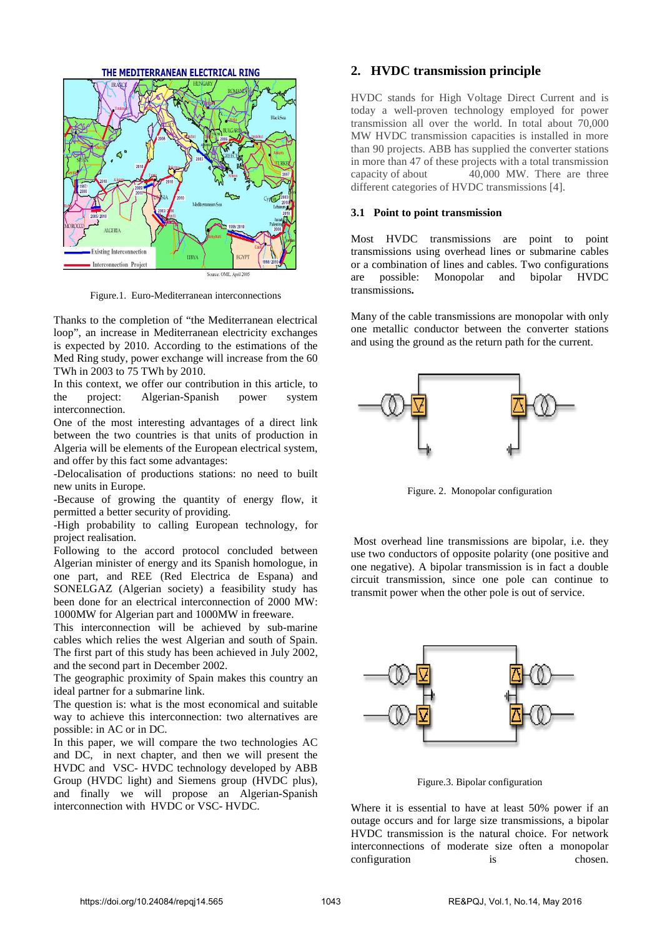THE MEDITERRANEAN ELECTRICAL RING **ALCERIA Existing Interconnection** HBYA **Interconnection Project** 

Figure.1. Euro-Mediterranean interconnections

Source: OME. April 200

Thanks to the completion of "the Mediterranean electrical loop", an increase in Mediterranean electricity exchanges is expected by 2010. According to the estimations of the Med Ring study, power exchange will increase from the 60 TWh in 2003 to 75 TWh by 2010.

In this context, we offer our contribution in this article, to the project: Algerian-Spanish power system interconnection.

One of the most interesting advantages of a direct link between the two countries is that units of production in Algeria will be elements of the European electrical system, and offer by this fact some advantages:

-Delocalisation of productions stations: no need to built new units in Europe.

-Because of growing the quantity of energy flow, it permitted a better security of providing.

-High probability to calling European technology, for project realisation.

Following to the accord protocol concluded between Algerian minister of energy and its Spanish homologue, in one part, and REE (Red Electrica de Espana) and SONELGAZ (Algerian society) a feasibility study has been done for an electrical interconnection of 2000 MW: 1000MW for Algerian part and 1000MW in freeware.

This interconnection will be achieved by sub-marine cables which relies the west Algerian and south of Spain. The first part of this study has been achieved in July 2002, and the second part in December 2002.

The geographic proximity of Spain makes this country an ideal partner for a submarine link.

The question is: what is the most economical and suitable way to achieve this interconnection: two alternatives are possible: in AC or in DC.

In this paper, we will compare the two technologies AC and DC, in next chapter, and then we will present the HVDC and VSC- HVDC technology developed by ABB Group (HVDC light) and Siemens group (HVDC plus), and finally we will propose an Algerian-Spanish interconnection with HVDC or VSC- HVDC.

# **2. HVDC transmission principle**

HVDC stands for High Voltage Direct Current and is today a well-proven technology employed for power transmission all over the world. In total about 70,000 MW HVDC transmission capacities is installed in more than 90 projects. ABB has supplied the converter stations in more than 47 of these projects with a total transmission capacity of about 40,000 MW. There are three different categories of HVDC transmissions [4].

## **3.1 Point to point transmission**

Most HVDC transmissions are point to point transmissions using overhead lines or submarine cables or a combination of lines and cables. Two configurations are possible: Monopolar and bipolar HVDC transmissions**.** 

Many of the cable transmissions are monopolar with only one metallic conductor between the converter stations and using the ground as the return path for the current.



Figure. 2. Monopolar configuration

 Most overhead line transmissions are bipolar, i.e. they use two conductors of opposite polarity (one positive and one negative). A bipolar transmission is in fact a double circuit transmission, since one pole can continue to transmit power when the other pole is out of service.



Figure.3. Bipolar configuration

Where it is essential to have at least 50% power if an outage occurs and for large size transmissions, a bipolar HVDC transmission is the natural choice. For network interconnections of moderate size often a monopolar configuration is chosen.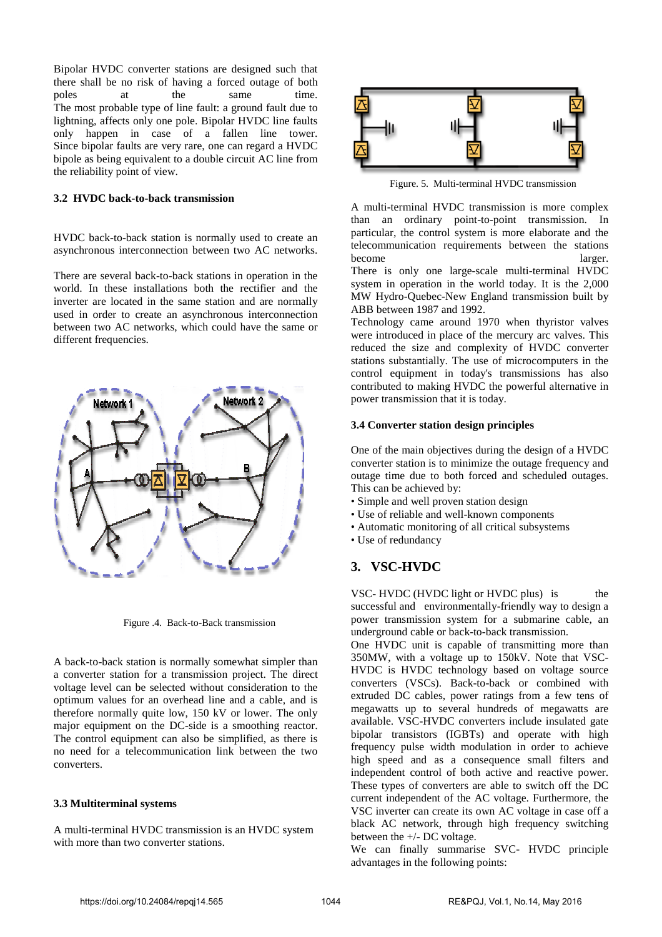Bipolar HVDC converter stations are designed such that there shall be no risk of having a forced outage of both poles at the same time. The most probable type of line fault: a ground fault due to lightning, affects only one pole. Bipolar HVDC line faults only happen in case of a fallen line tower. Since bipolar faults are very rare, one can regard a HVDC bipole as being equivalent to a double circuit AC line from the reliability point of view.

#### **3.2 HVDC back-to-back transmission**

HVDC back-to-back station is normally used to create an asynchronous interconnection between two AC networks.

There are several back-to-back stations in operation in the world. In these installations both the rectifier and the inverter are located in the same station and are normally used in order to create an asynchronous interconnection between two AC networks, which could have the same or different frequencies.



Figure .4. Back-to-Back transmission

A back-to-back station is normally somewhat simpler than a converter station for a transmission project. The direct voltage level can be selected without consideration to the optimum values for an overhead line and a cable, and is therefore normally quite low, 150 kV or lower. The only major equipment on the DC-side is a smoothing reactor. The control equipment can also be simplified, as there is no need for a telecommunication link between the two converters.

#### **3.3 Multiterminal systems**

A multi-terminal HVDC transmission is an HVDC system with more than two converter stations.



Figure. 5. Multi-terminal HVDC transmission

A multi-terminal HVDC transmission is more complex than an ordinary point-to-point transmission. In particular, the control system is more elaborate and the telecommunication requirements between the stations become larger.

There is only one large-scale multi-terminal HVDC system in operation in the world today. It is the 2,000 MW Hydro-Quebec-New England transmission built by ABB between 1987 and 1992.

Technology came around 1970 when thyristor valves were introduced in place of the mercury arc valves. This reduced the size and complexity of HVDC converter stations substantially. The use of microcomputers in the control equipment in today's transmissions has also contributed to making HVDC the powerful alternative in power transmission that it is today.

#### **3.4 Converter station design principles**

One of the main objectives during the design of a HVDC converter station is to minimize the outage frequency and outage time due to both forced and scheduled outages. This can be achieved by:

- Simple and well proven station design
- Use of reliable and well-known components
- Automatic monitoring of all critical subsystems
- Use of redundancy

# **3. VSC-HVDC**

VSC- HVDC (HVDC light or HVDC plus) is the successful and environmentally-friendly way to design a power transmission system for a submarine cable, an underground cable or back-to-back transmission.

One HVDC unit is capable of transmitting more than 350MW, with a voltage up to 150kV. Note that VSC-HVDC is HVDC technology based on voltage source converters (VSCs). Back-to-back or combined with extruded DC cables, power ratings from a few tens of megawatts up to several hundreds of megawatts are available. VSC-HVDC converters include insulated gate bipolar transistors (IGBTs) and operate with high frequency pulse width modulation in order to achieve high speed and as a consequence small filters and independent control of both active and reactive power. These types of converters are able to switch off the DC current independent of the AC voltage. Furthermore, the VSC inverter can create its own AC voltage in case off a black AC network, through high frequency switching between the +/- DC voltage.

We can finally summarise SVC- HVDC principle advantages in the following points: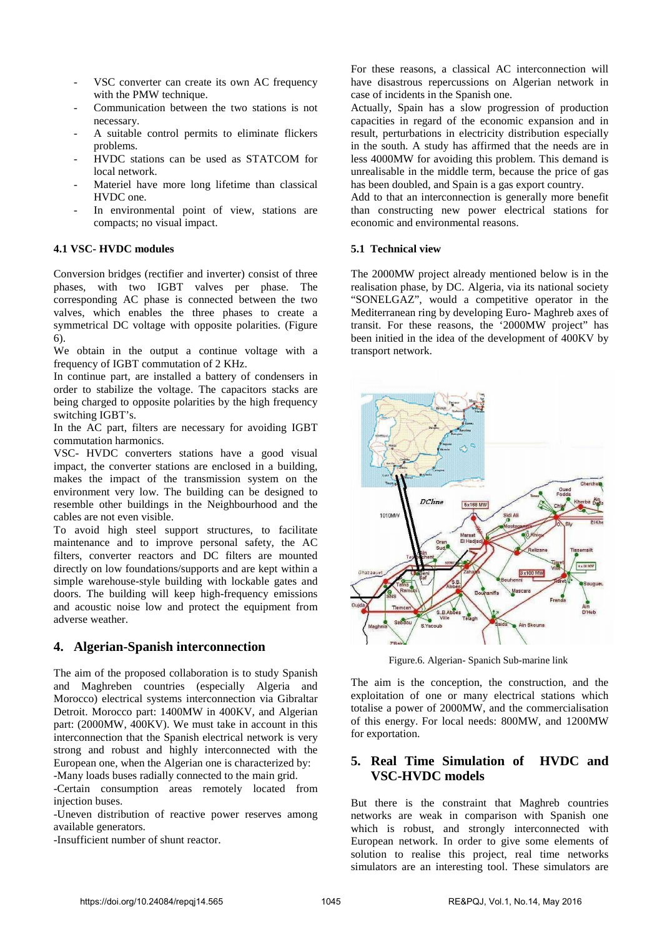- VSC converter can create its own AC frequency with the PMW technique.
- Communication between the two stations is not necessary.
- A suitable control permits to eliminate flickers problems.
- HVDC stations can be used as STATCOM for local network.
- Materiel have more long lifetime than classical HVDC one.
- In environmental point of view, stations are compacts; no visual impact.

## **4.1 VSC- HVDC modules**

Conversion bridges (rectifier and inverter) consist of three phases, with two IGBT valves per phase. The corresponding AC phase is connected between the two valves, which enables the three phases to create a symmetrical DC voltage with opposite polarities. (Figure 6).

We obtain in the output a continue voltage with a frequency of IGBT commutation of 2 KHz.

In continue part, are installed a battery of condensers in order to stabilize the voltage. The capacitors stacks are being charged to opposite polarities by the high frequency switching IGBT's.

In the AC part, filters are necessary for avoiding IGBT commutation harmonics.

VSC- HVDC converters stations have a good visual impact, the converter stations are enclosed in a building, makes the impact of the transmission system on the environment very low. The building can be designed to resemble other buildings in the Neighbourhood and the cables are not even visible.

To avoid high steel support structures, to facilitate maintenance and to improve personal safety, the AC filters, converter reactors and DC filters are mounted directly on low foundations/supports and are kept within a simple warehouse-style building with lockable gates and doors. The building will keep high-frequency emissions and acoustic noise low and protect the equipment from adverse weather.

# **4. Algerian-Spanish interconnection**

The aim of the proposed collaboration is to study Spanish and Maghreben countries (especially Algeria and Morocco) electrical systems interconnection via Gibraltar Detroit. Morocco part: 1400MW in 400KV, and Algerian part: (2000MW, 400KV). We must take in account in this interconnection that the Spanish electrical network is very strong and robust and highly interconnected with the European one, when the Algerian one is characterized by: -Many loads buses radially connected to the main grid.

-Certain consumption areas remotely located from injection buses.

-Uneven distribution of reactive power reserves among available generators.

-Insufficient number of shunt reactor.

For these reasons, a classical AC interconnection will have disastrous repercussions on Algerian network in case of incidents in the Spanish one.

Actually, Spain has a slow progression of production capacities in regard of the economic expansion and in result, perturbations in electricity distribution especially in the south. A study has affirmed that the needs are in less 4000MW for avoiding this problem. This demand is unrealisable in the middle term, because the price of gas has been doubled, and Spain is a gas export country.

Add to that an interconnection is generally more benefit than constructing new power electrical stations for economic and environmental reasons.

#### **5.1 Technical view**

The 2000MW project already mentioned below is in the realisation phase, by DC. Algeria, via its national society "SONELGAZ", would a competitive operator in the Mediterranean ring by developing Euro- Maghreb axes of transit. For these reasons, the '2000MW project" has been initied in the idea of the development of 400KV by transport network.



Figure.6. Algerian- Spanich Sub-marine link

The aim is the conception, the construction, and the exploitation of one or many electrical stations which totalise a power of 2000MW, and the commercialisation of this energy. For local needs: 800MW, and 1200MW for exportation.

# **5. Real Time Simulation of HVDC and VSC-HVDC models**

But there is the constraint that Maghreb countries networks are weak in comparison with Spanish one which is robust, and strongly interconnected with European network. In order to give some elements of solution to realise this project, real time networks simulators are an interesting tool. These simulators are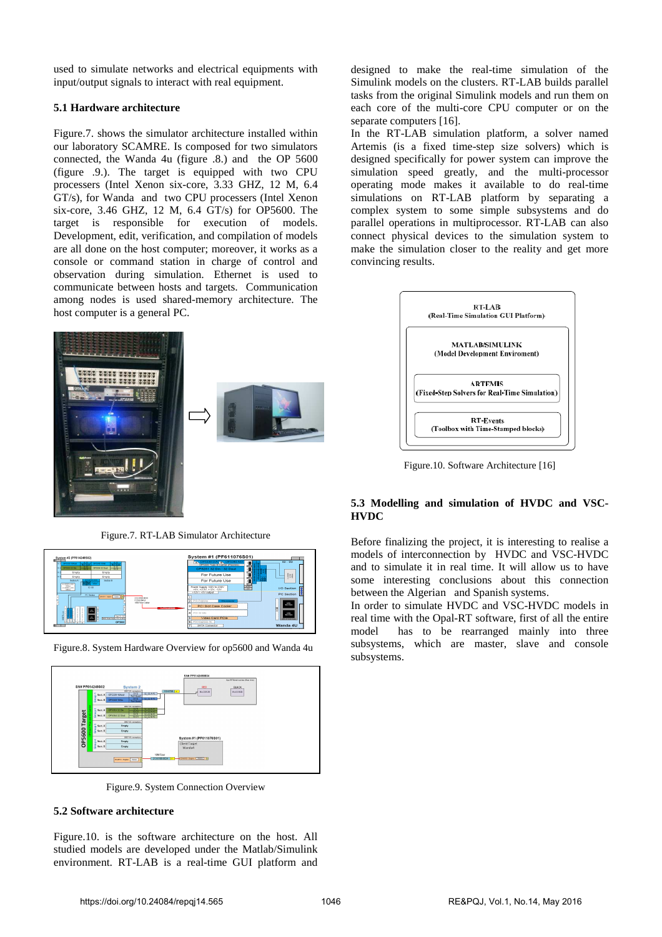used to simulate networks and electrical equipments with input/output signals to interact with real equipment.

## **5.1 Hardware architecture**

Figure.7. shows the simulator architecture installed within our laboratory SCAMRE. Is composed for two simulators connected, the Wanda 4u (figure .8.) and the OP 5600 (figure .9.). The target is equipped with two CPU processers (Intel Xenon six-core, 3.33 GHZ, 12 M, 6.4 GT/s), for Wanda and two CPU processers (Intel Xenon six-core, 3.46 GHZ, 12 M, 6.4 GT/s) for OP5600. The target is responsible for execution of models. Development, edit, verification, and compilation of models are all done on the host computer; moreover, it works as a console or command station in charge of control and observation during simulation. Ethernet is used to communicate between hosts and targets. Communication among nodes is used shared-memory architecture. The host computer is a general PC.



Figure.7. RT-LAB Simulator Architecture



Figure.8. System Hardware Overview for op5600 and Wanda 4u



Figure.9. System Connection Overview

## **5.2 Software architecture**

Figure.10. is the software architecture on the host. All studied models are developed under the Matlab/Simulink environment. RT-LAB is a real-time GUI platform and designed to make the real-time simulation of the Simulink models on the clusters. RT-LAB builds parallel tasks from the original Simulink models and run them on each core of the multi-core CPU computer or on the separate computers [16].

In the RT-LAB simulation platform, a solver named Artemis (is a fixed time-step size solvers) which is designed specifically for power system can improve the simulation speed greatly, and the multi-processor operating mode makes it available to do real-time simulations on RT-LAB platform by separating a complex system to some simple subsystems and do parallel operations in multiprocessor. RT-LAB can also connect physical devices to the simulation system to make the simulation closer to the reality and get more convincing results.



Figure.10. Software Architecture [16]

## **5.3 Modelling and simulation of HVDC and VSC-HVDC**

Before finalizing the project, it is interesting to realise a models of interconnection by HVDC and VSC-HVDC and to simulate it in real time. It will allow us to have some interesting conclusions about this connection between the Algerian and Spanish systems.

In order to simulate HVDC and VSC-HVDC models in real time with the Opal-RT software, first of all the entire model has to be rearranged mainly into three subsystems, which are master, slave and console subsystems.